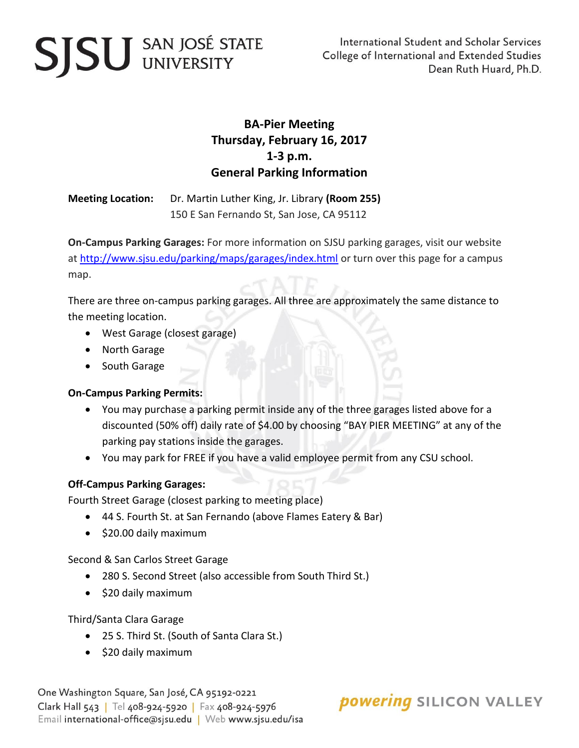# **SJSU** SAN JOSÉ STATE

### **BA-Pier Meeting Thursday, February 16, 2017 1-3 p.m. General Parking Information**

**Meeting Location:** Dr. Martin Luther King, Jr. Library **(Room 255)** 150 E San Fernando St, San Jose, CA 95112

**On-Campus Parking Garages:** For more information on SJSU parking garages, visit our website at<http://www.sjsu.edu/parking/maps/garages/index.html> or turn over this page for a campus map.

There are three on-campus parking garages. All three are approximately the same distance to the meeting location.

- West Garage (closest garage)
- North Garage
- South Garage

#### **On-Campus Parking Permits:**

- You may purchase a parking permit inside any of the three garages listed above for a discounted (50% off) daily rate of \$4.00 by choosing "BAY PIER MEETING" at any of the parking pay stations inside the garages.
- You may park for FREE if you have a valid employee permit from any CSU school.

#### **Off-Campus Parking Garages:**

Fourth Street Garage (closest parking to meeting place)

- 44 S. Fourth St. at San Fernando (above Flames Eatery & Bar)
- $\bullet$  \$20.00 daily maximum

Second & San Carlos Street Garage

- 280 S. Second Street (also accessible from South Third St.)
- $\bullet$  \$20 daily maximum

Third/Santa Clara Garage

- 25 S. Third St. (South of Santa Clara St.)
- $\bullet$  \$20 daily maximum

One Washington Square, San José, CA 95192-0221 Clark Hall 543 | Tel 408-924-5920 | Fax 408-924-5976 Email international-office@sjsu.edu | Web www.sjsu.edu/isa

**powering SILICON VALLEY**